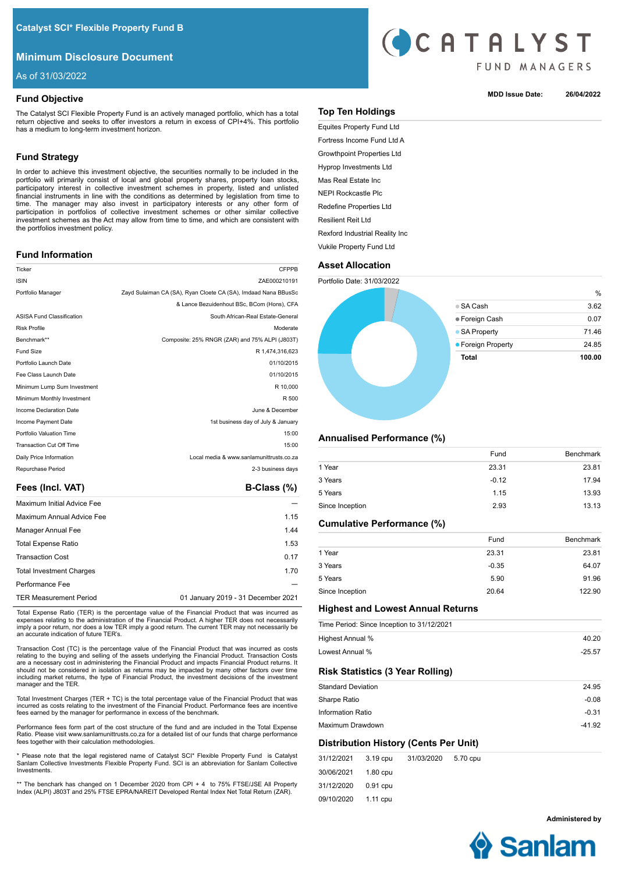# **Minimum Disclosure Document**

As of 31/03/2022

# **Fund Objective**

The Catalyst SCI Flexible Property Fund is an actively managed portfolio, which has a total return objective and seeks to offer investors a return in excess of CPI+4%. This portfolio has a medium to long-term investment horizon.

# **Fund Strategy**

In order to achieve this investment objective, the securities normally to be included in the portfolio will primarily consist of local and global property shares, property loan stocks, participatory interest in collective investment schemes in property, listed and unlisted financial instruments in line with the conditions as determined by legislation from time to time. The manager may also invest in participatory interests or any other form of participation in portfolios of collective investment schemes or other similar collective investment schemes as the Act may allow from time to time, and which are consistent with the portfolios investment policy.

## **Fund Information**

| Ticker                           | <b>CFPPB</b>                                                   |
|----------------------------------|----------------------------------------------------------------|
| <b>ISIN</b>                      | ZAE000210191                                                   |
| Portfolio Manager                | Zayd Sulaiman CA (SA), Ryan Cloete CA (SA), Imdaad Nana BBusSc |
|                                  | & Lance Bezuidenhout BSc, BCom (Hons), CFA                     |
| <b>ASISA Fund Classification</b> | South African-Real Estate-General                              |
| <b>Risk Profile</b>              | Moderate                                                       |
| Benchmark**                      | Composite: 25% RNGR (ZAR) and 75% ALPI (J803T)                 |
| Fund Size                        | R 1.474.316.623                                                |
| Portfolio Launch Date            | 01/10/2015                                                     |
| Fee Class Launch Date            | 01/10/2015                                                     |
| Minimum Lump Sum Investment      | R 10,000                                                       |
| Minimum Monthly Investment       | R 500                                                          |
| Income Declaration Date          | June & December                                                |
| Income Payment Date              | 1st business day of July & January                             |
| Portfolio Valuation Time         | 15:00                                                          |
| <b>Transaction Cut Off Time</b>  | 15:00                                                          |
| Daily Price Information          | Local media & www.sanlamunittrusts.co.za                       |
| Repurchase Period                | 2-3 business days                                              |
|                                  |                                                                |

## Fees (Incl. VAT) **B-Class (%)**

| Maximum Initial Advice Fee      |                                    |
|---------------------------------|------------------------------------|
| Maximum Annual Advice Fee       | 1.15                               |
| Manager Annual Fee              | 1.44                               |
| <b>Total Expense Ratio</b>      | 1.53                               |
| <b>Transaction Cost</b>         | 0.17                               |
| <b>Total Investment Charges</b> | 1.70                               |
| Performance Fee                 |                                    |
| <b>TER Measurement Period</b>   | 01 January 2019 - 31 December 2021 |

Total Expense Ratio (TER) is the percentage value of the Financial Product that was incurred as expenses relating to the administration of the Financial Product. A higher TER does not necessarily imply a poor return, nor does a low TER imply a good return. The current TER may not necessarily be an accurate indication of future TER's.

Transaction Cost (TC) is the percentage value of the Financial Product that was incurred as costs relating to the buying and selling of the assets underlying the Financial Product. Transaction Costs are a necessary cost in administering the Financial Product and impacts Financial Product returns. It should not be considered in isolation as returns may be impacted by many other factors over time including market returns, the type of Financial Product, the investment decisions of the investment manager and the TER.

Total Investment Charges (TER + TC) is the total percentage value of the Financial Product that was incurred as costs relating to the investment of the Financial Product. Performance fees are incentive fees earned by the manager for performance in excess of the benchmark.

Performance fees form part of the cost structure of the fund and are included in the Total Expense Ratio. Please visit www.sanlamunittrusts.co.za for a detailed list of our funds that charge performance fees together with their calculation methodologies.

\* Please note that the legal registered name of Catalyst SCI\* Flexible Property Fund is Catalyst Sanlam Collective Investments Flexible Property Fund. SCI is an abbreviation for Sanlam Collective Investments.

\*\* The benchark has changed on 1 December 2020 from CPI + 4 to 75% FTSE/JSE All Property Index (ALPI) J803T and 25% FTSE EPRA/NAREIT Developed Rental Index Net Total Return (ZAR).



## **MDD Issue Date: 26/04/2022**

# **Top Ten Holdings**

Equites Property Fund Ltd Fortress Income Fund Ltd A Growthpoint Properties Ltd Hyprop Investments Ltd Mas Real Estate Inc NEPI Rockcastle Plc Redefine Properties Ltd Resilient Reit Ltd Rexford Industrial Reality Inc Vukile Property Fund Ltd

# **Asset Allocation**

Portfolio Date: 31/03/2022



## **Annualised Performance (%)**

| 23.81 |
|-------|
| 17.94 |
| 13.93 |
| 13.13 |
|       |

# **Cumulative Performance (%)**

|                 | Fund    | <b>Benchmark</b> |
|-----------------|---------|------------------|
| 1 Year          | 23.31   | 23.81            |
| 3 Years         | $-0.35$ | 64.07            |
| 5 Years         | 5.90    | 91.96            |
| Since Inception | 20.64   | 122.90           |

## **Highest and Lowest Annual Returns**

|                           |          | Time Period: Since Inception to 31/12/2021 |          |          |
|---------------------------|----------|--------------------------------------------|----------|----------|
| Highest Annual %          |          |                                            |          | 40.20    |
| Lowest Annual %           |          |                                            |          | $-25.57$ |
|                           |          | <b>Risk Statistics (3 Year Rolling)</b>    |          |          |
| <b>Standard Deviation</b> |          |                                            |          | 24.95    |
| Sharpe Ratio              |          |                                            |          | $-0.08$  |
| Information Ratio         |          |                                            |          | $-0.31$  |
| Maximum Drawdown          |          |                                            |          | $-41.92$ |
|                           |          | Distribution History (Cents Per Unit)      |          |          |
| 31/12/2021                | 3.19 cpu | 31/03/2020                                 | 5.70 cpu |          |

| 31/12/2021 3.19 cpu |          | 31/03/2020 5.70 cpu |  |
|---------------------|----------|---------------------|--|
| 30/06/2021 1.80 cpu |          |                     |  |
| 31/12/2020          | 0.91 cpu |                     |  |
| 09/10/2020 1.11 cpu |          |                     |  |

**Administered by**

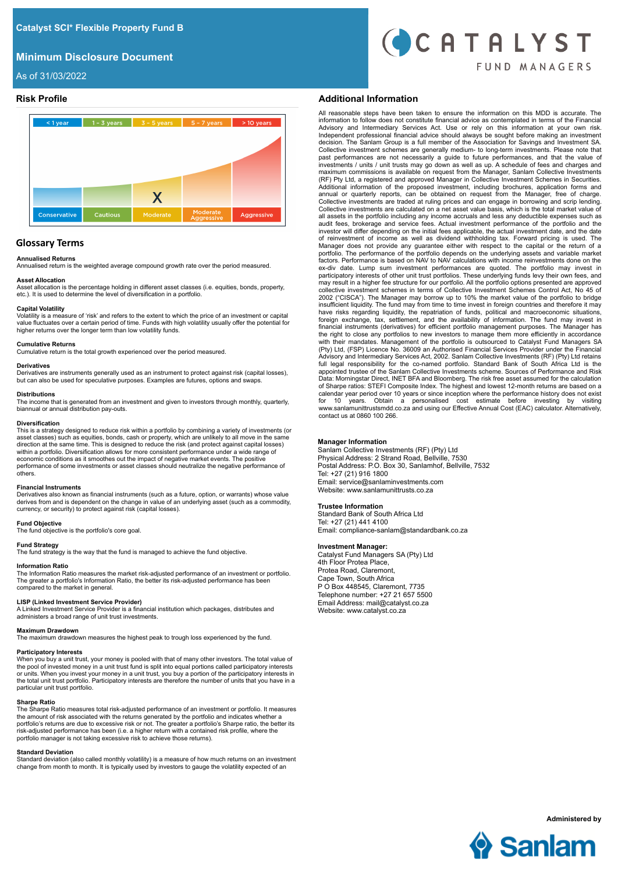# **Minimum Disclosure Document**



As of 31/03/2022



# **Glossary Terms**

## **Annualised Returns**

Annualised return is the weighted average compound growth rate over the period measured.

## **Asset Allocation**

Asset allocation is the percentage holding in different asset classes (i.e. equities, bonds, property, etc.). It is used to determine the level of diversification in a portfolio.

## **Capital Volatility**

Volatility is a measure of 'risk' and refers to the extent to which the price of an investment or capital value fluctuates over a certain period of time. Funds with high volatility usually offer the potential for higher returns over the longer term than low volatility funds.

#### **Cumulative Returns**

Cumulative return is the total growth experienced over the period measured.

**Derivatives**<br>Derivatives are instruments generally used as an instrument to protect against risk (capital losses), but can also be used for speculative purposes. Examples are futures, options and swaps.

# **Distributions**

The income that is generated from an investment and given to investors through monthly, quarterly, biannual or annual distribution pay-outs.

#### **Diversification**

This is a strategy designed to reduce risk within a portfolio by combining a variety of investments (or asset classes) such as equities, bonds, cash or property, which are unlikely to all move in the same<br>direction at the same time. This is designed to reduce the risk (and protect against capital losses)<br>within a portfolio. economic conditions as it smoothes out the impact of negative market events. The positive performance of some investments or asset classes should neutralize the negative performance of others.

### **Financial Instruments**

Derivatives also known as financial instruments (such as a future, option, or warrants) whose value derives from and is dependent on the change in value of an underlying asset (such as a commodity, currency, or security) to protect against risk (capital losses).

## **Fund Objective**

The fund objective is the portfolio's core goal.

### **Fund Strategy**

The fund strategy is the way that the fund is managed to achieve the fund objective.

#### **Information Ratio**

The Information Ratio measures the market risk-adjusted performance of an investment or portfolio. The greater a portfolio's Information Ratio, the better its risk-adjusted performance has been compared to the market in general.

#### **LISP (Linked Investment Service Provider)**

A Linked Investment Service Provider is a financial institution which packages, distributes and administers a broad range of unit trust investments.

## **Maximum Drawdown**

The maximum drawdown measures the highest peak to trough loss experienced by the fund.

## **Participatory Interests**

When you buy a unit trust, your money is pooled with that of many other investors. The total value of the pool of invested money in a unit trust fund is split into equal portions called participatory interests or units. When you invest your money in a unit trust, you buy a portion of the participatory interests in the total unit trust portfolio. Participatory interests are therefore the number of units that you have in a particular unit trust portfolio.

## **Sharpe Ratio**

The Sharpe Ratio measures total risk-adjusted performance of an investment or portfolio. It measures the amount of risk associated with the returns generated by the portfolio and indicates whether a<br>portfolio's returns are due to excessive risk or not. The greater a portfolio's Sharpe ratio, the better its<br>risk-adjusted p portfolio manager is not taking excessive risk to achieve those returns).

#### **Standard Deviation**

Standard deviation (also called monthly volatility) is a measure of how much returns on an investment change from month to month. It is typically used by investors to gauge the volatility expected of an

## **Risk Profile Additional Information**

All reasonable steps have been taken to ensure the information on this MDD is accurate. The information to follow does not constitute financial advice as contemplated in terms of the Financial<br>Advisory and Intermediary Services Act. Use or rely on this information at your own risk.<br>Independent professional financ Collective investment schemes are generally medium- to long-term investments. Please note that past performances are not necessarily a guide to future performances, and that the value of investments / units / unit trusts may go down as well as up. A schedule of fees and charges and maximum commissions is available on request from the Manager, Sanlam Collective Investments (RF) Pty Ltd, a registered and approved Manager in Collective Investment Schemes in Securities. Additional information of the proposed investment, including brochures, application forms and annual or quarterly reports, can be obtained on request from the Manager, free of charge. Collective investments are traded at ruling prices and can engage in borrowing and scrip lending. Collective investments are calculated on a net asset value basis, which is the total market value of all assets in the portfolio including any income accruals and less any deductible expenses such as audit fees, brokerage and service fees. Actual investment performance of the portfolio and the investor will differ depending on the initial fees applicable, the actual investment date, and the date of reinvestment of income as well as dividend withholding tax. Forward pricing is used. The Manager does not provide any guarantee either with respect to the capital or the return of a<br>portfolio. The performance of the portfolio depends on the underlying assets and variable market<br>factors. Performance is based on participatory interests of other unit trust portfolios. These underlying funds levy their own fees, and<br>may result in a higher fee structure for our portfolio. All the portfolio options presented are approved<br>collective in insufficient liquidity. The fund may from time to time invest in foreign countries and therefore it may have risks regarding liquidity, the repatriation of funds, political and macroeconomic situations, foreign exchange, tax, settlement, and the availability of information. The fund may invest in financial instruments (derivatives) for efficient portfolio management purposes. The Manager has the right to close any portfolios to new investors to manage them more efficiently in accordance with their mandates. Management of the portfolio is outsourced to Catalyst Fund Managers SA (Pty) Ltd, (FSP) Licence No. 36009 an Authorised Financial Services Provider under the Financial Advisory and Intermediary Services Act, 2002. Sanlam Collective Investments (RF) (Pty) Ltd retains full legal responsibility for the co-named portfolio. Standard Bank of South Africa Ltd is the appointed trustee of the Sanlam Collective Investments scheme. Sources of Performance and Risk Data: Morningstar Direct, INET BFA and Bloomberg. The risk free asset assumed for the calculation of Sharpe ratios: STEFI Composite Index. The highest and lowest 12-month returns are based on a<br>calendar year period over 10 years or since inception where the performance history does not exist<br>for 10 years. Obtain a contact us at 0860 100 266.

## **Manager Information**

Sanlam Collective Investments (RF) (Pty) Ltd Physical Address: 2 Strand Road, Bellville, 7530 Postal Address: P.O. Box 30, Sanlamhof, Bellville, 7532 Tel: +27 (21) 916 1800 Email: service@sanlaminvestments.com Website: www.sanlamunittrusts.co.za

## **Trustee Information**

Standard Bank of South Africa Ltd Tel: +27 (21) 441 4100 Email: compliance-sanlam@standardbank.co.za

## **Investment Manager:**

Catalyst Fund Managers SA (Pty) Ltd 4th Floor Protea Place, Protea Road, Claremont, Cape Town, South Africa P O Box 448545, Claremont, 7735 Telephone number: +27 21 657 5500 Email Address: mail@catalyst.co.za Website: www.catalyst.co.za



**Administered by**